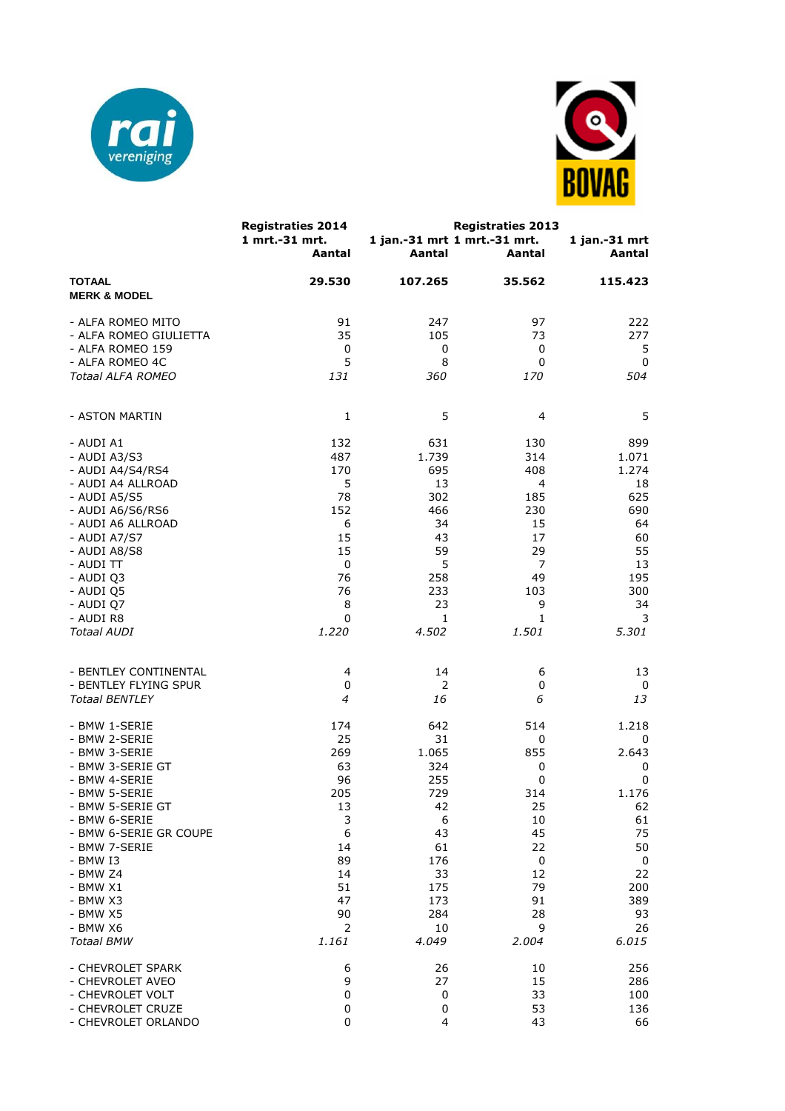



|                                          | <b>Registraties 2014</b><br>1 mrt.-31 mrt.<br>Aantal | Aantal  | <b>Registraties 2013</b><br>1 jan.-31 mrt 1 mrt.-31 mrt.<br>Aantal | 1 jan.-31 mrt<br>Aantal |
|------------------------------------------|------------------------------------------------------|---------|--------------------------------------------------------------------|-------------------------|
| <b>TOTAAL</b><br><b>MERK &amp; MODEL</b> | 29.530                                               | 107.265 | 35.562                                                             | 115.423                 |
| - ALFA ROMEO MITO                        | 91                                                   | 247     | 97                                                                 | 222                     |
| - ALFA ROMEO GIULIETTA                   | 35                                                   | 105     | 73                                                                 | 277                     |
| - ALFA ROMEO 159                         | 0                                                    | 0       | 0                                                                  | 5                       |
| - ALFA ROMEO 4C                          | 5                                                    | 8       | 0                                                                  | 0                       |
| Totaal ALFA ROMEO                        | 131                                                  | 360     | <i>170</i>                                                         | 504                     |
| - ASTON MARTIN                           | 1                                                    | 5       | 4                                                                  | 5                       |
| - AUDI A1                                | 132                                                  | 631     | 130                                                                | 899                     |
| - AUDI A3/S3                             | 487                                                  | 1.739   | 314                                                                | 1.071                   |
| - AUDI A4/S4/RS4                         | 170                                                  | 695     | 408                                                                | 1.274                   |
| - AUDI A4 ALLROAD                        | 5                                                    | 13      | 4                                                                  | 18                      |
| - AUDI A5/S5                             | 78                                                   | 302     | 185                                                                | 625                     |
| - AUDI A6/S6/RS6                         | 152                                                  | 466     | 230                                                                | 690                     |
| - AUDI A6 ALLROAD                        | 6                                                    | 34      | 15                                                                 | 64                      |
| - AUDI A7/S7                             | 15                                                   | 43      | 17                                                                 | 60                      |
| - AUDI A8/S8                             | 15                                                   | 59      | 29                                                                 | 55                      |
| - AUDI TT                                | 0                                                    | 5       | $\overline{7}$                                                     | 13                      |
| - AUDI Q3                                | 76                                                   | 258     | 49                                                                 | 195                     |
| - AUDI Q5                                | 76                                                   | 233     | 103                                                                | 300                     |
| - AUDI Q7                                | 8                                                    | 23      | 9                                                                  | 34                      |
| - AUDI R8                                | 0                                                    | 1       | 1                                                                  | 3                       |
| <b>Totaal AUDI</b>                       | 1.220                                                | 4.502   | 1.501                                                              | 5.301                   |
| - BENTLEY CONTINENTAL                    | 4                                                    | 14      | 6                                                                  | 13                      |
| - BENTLEY FLYING SPUR                    | 0                                                    | 2       | 0                                                                  | 0                       |
| <b>Totaal BENTLEY</b>                    | 4                                                    | 16      | 6                                                                  | 13                      |
| - BMW 1-SERIE                            | 174                                                  | 642     | 514                                                                | 1.218                   |
| - BMW 2-SERIE                            | 25                                                   | 31      | 0                                                                  | 0                       |
| - BMW 3-SERIE                            | 269                                                  | 1.065   | 855                                                                | 2.643                   |
| - BMW 3-SERIE GT                         | 63                                                   | 324     | 0                                                                  | 0                       |
| - BMW 4-SERIE                            | 96                                                   | 255     | 0                                                                  | 0                       |
| - BMW 5-SERIE                            | 205                                                  | 729     | 314                                                                | 1.176                   |
| - BMW 5-SERIE GT                         | 13                                                   | 42      | 25                                                                 | 62                      |
| - BMW 6-SERIE                            | 3                                                    | 6       | 10                                                                 | 61                      |
| - BMW 6-SERIE GR COUPE                   | 6                                                    | 43      | 45                                                                 | 75                      |
| - BMW 7-SERIE                            | 14                                                   | 61      | 22                                                                 | 50                      |
| - BMW I3                                 | 89                                                   | 176     | 0                                                                  | $\boldsymbol{0}$        |
| - BMW Z4                                 | 14                                                   | 33      | 12                                                                 | 22                      |
| - BMW X1                                 | 51                                                   | 175     | 79                                                                 | 200                     |
| - BMW X3                                 | 47                                                   | 173     | 91                                                                 | 389                     |
| - BMW X5                                 | 90                                                   | 284     | 28                                                                 | 93                      |
| - BMW X6                                 | $\overline{2}$                                       | 10      | 9                                                                  | 26                      |
| <b>Totaal BMW</b>                        | 1.161                                                | 4.049   | 2.004                                                              | 6.015                   |
| - CHEVROLET SPARK                        | 6                                                    | 26      | 10                                                                 | 256                     |
| - CHEVROLET AVEO                         | 9                                                    | 27      | 15                                                                 | 286                     |
| - CHEVROLET VOLT                         | 0                                                    | 0       | 33                                                                 | 100                     |
| - CHEVROLET CRUZE                        | $\pmb{0}$                                            | 0       | 53                                                                 | 136                     |
| - CHEVROLET ORLANDO                      | 0                                                    | 4       | 43                                                                 | 66                      |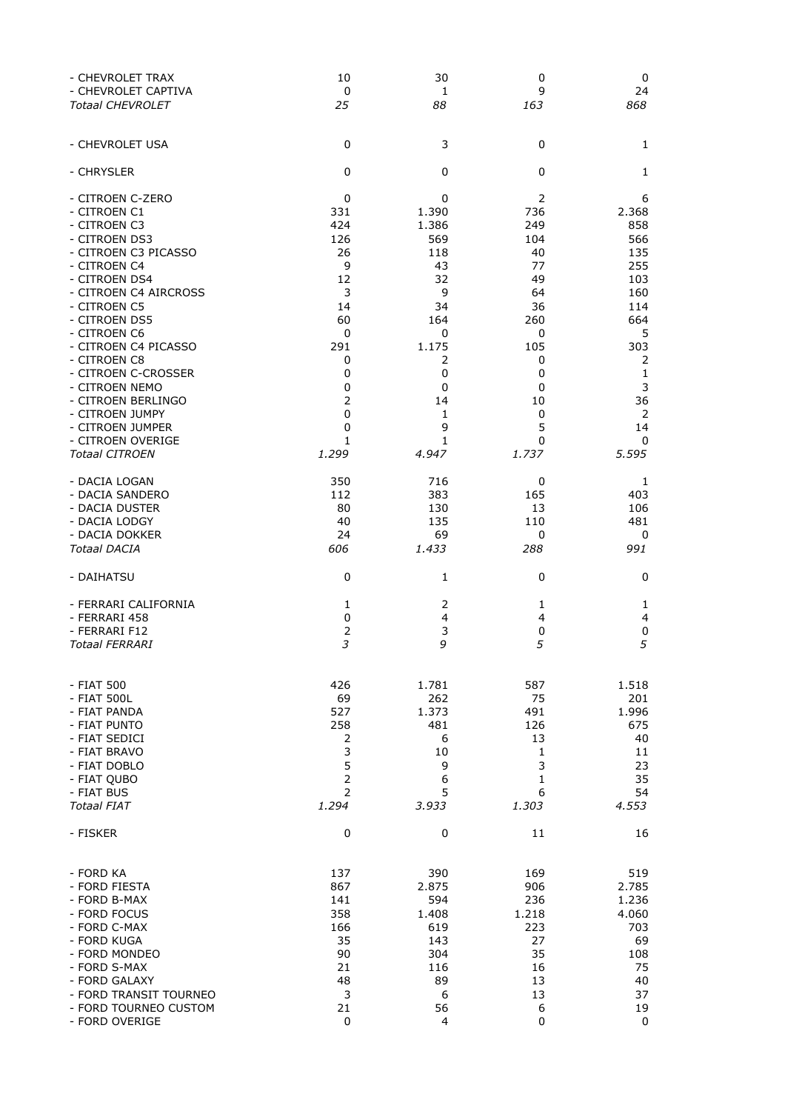| - CHEVROLET TRAX        | 10             | 30    | 0              | 0     |
|-------------------------|----------------|-------|----------------|-------|
| - CHEVROLET CAPTIVA     | $\bf{0}$       | 1     | 9              | 24    |
| <b>Totaal CHEVROLET</b> | 25             | 88    | 163            | 868   |
| - CHEVROLET USA         | $\mathbf 0$    | 3     | 0              | 1     |
| - CHRYSLER              | $\mathbf 0$    | 0     | 0              | 1     |
| - CITROEN C-ZERO        | 0              | 0     | $\overline{2}$ | 6     |
| - CITROEN C1            | 331            | 1.390 | 736            | 2.368 |
| - CITROEN C3            | 424            | 1.386 | 249            | 858   |
| - CITROEN DS3           | 126            | 569   | 104            | 566   |
| - CITROEN C3 PICASSO    | 26             | 118   | 40             | 135   |
| - CITROEN C4            | 9              | 43    | 77             | 255   |
| - CITROEN DS4           | 12             | 32    | 49             | 103   |
| - CITROEN C4 AIRCROSS   | 3              | 9     | 64             | 160   |
| - CITROEN C5            | 14             | 34    | 36             | 114   |
| - CITROEN DS5           | 60             | 164   | 260            | 664   |
| - CITROEN C6            | $\mathbf 0$    | 0     | 0              | 5     |
| - CITROEN C4 PICASSO    | 291            | 1.175 | 105            | 303   |
| - CITROEN C8            | 0              | 2     | 0              | 2     |
| - CITROEN C-CROSSER     | 0              | 0     | 0              | 1     |
| - CITROEN NEMO          | 0              | 0     | 0              | 3     |
| - CITROEN BERLINGO      | $\overline{2}$ | 14    | 10             | 36    |
| - CITROEN JUMPY         | 0              | 1     | 0              | 2     |
| - CITROEN JUMPER        | 0              | 9     | 5              | 14    |
| - CITROEN OVERIGE       | 1              | 1     | 0              | 0     |
| <b>Totaal CITROEN</b>   | 1.299          | 4.947 | 1.737          | 5.595 |
| - DACIA LOGAN           | 350            | 716   | 0              | 1     |
| - DACIA SANDERO         | 112            | 383   | 165            | 403   |
| - DACIA DUSTER          | 80             | 130   | 13             | 106   |
| - DACIA LODGY           | 40             | 135   | 110            | 481   |
| - DACIA DOKKER          | 24             | 69    | 0              | 0     |
| <b>Totaal DACIA</b>     | 606            | 1.433 | 288            | 991   |
| - DAIHATSU              | 0              | 1     | 0              | 0     |
| - FERRARI CALIFORNIA    | 1              | 2     | 1              | 1     |
| - FERRARI 458           | 0              | 4     | 4              | 4     |
| - FERRARI F12           | $\overline{2}$ | 3     | 0              | 0     |
| <b>Totaal FERRARI</b>   | 3              | 9     | 5              | 5     |
| - FIAT 500              | 426            | 1.781 | 587            | 1.518 |
| - FIAT 500L             | 69             | 262   | 75             | 201   |
| - FIAT PANDA            | 527            | 1.373 | 491            | 1.996 |
| - FIAT PUNTO            | 258            | 481   | 126            | 675   |
| - FIAT SEDICI           | $\overline{2}$ | 6     | 13             | 40    |
| - FIAT BRAVO            | 3              | 10    | 1              | 11    |
| - FIAT DOBLO            | 5              | 9     | 3              | 23    |
| - FIAT QUBO             | $\mathsf{2}\,$ | 6     | 1              | 35    |
| - FIAT BUS              | $\overline{2}$ | 5     | 6              | 54    |
| Totaal FIAT             | 1.294          | 3.933 | 1.303          | 4.553 |
| - FISKER                | 0              | 0     | 11             | 16    |
| - FORD KA               | 137            | 390   | 169            | 519   |
| - FORD FIESTA           | 867            | 2.875 | 906            | 2.785 |
| - FORD B-MAX            | 141            | 594   | 236            | 1.236 |
| - FORD FOCUS            | 358            | 1.408 | 1.218          | 4.060 |
| - FORD C-MAX            | 166            | 619   | 223            | 703   |
| - FORD KUGA             | 35             | 143   | 27             | 69    |
| - FORD MONDEO           | 90             | 304   | 35             | 108   |
| - FORD S-MAX            | 21             | 116   | 16             | 75    |
| - FORD GALAXY           | 48             | 89    | 13             | 40    |
| - FORD TRANSIT TOURNEO  | 3              | 6     | 13             | 37    |
| - FORD TOURNEO CUSTOM   | 21             | 56    | 6              | 19    |
| - FORD OVERIGE          | 0              | 4     | 0              | 0     |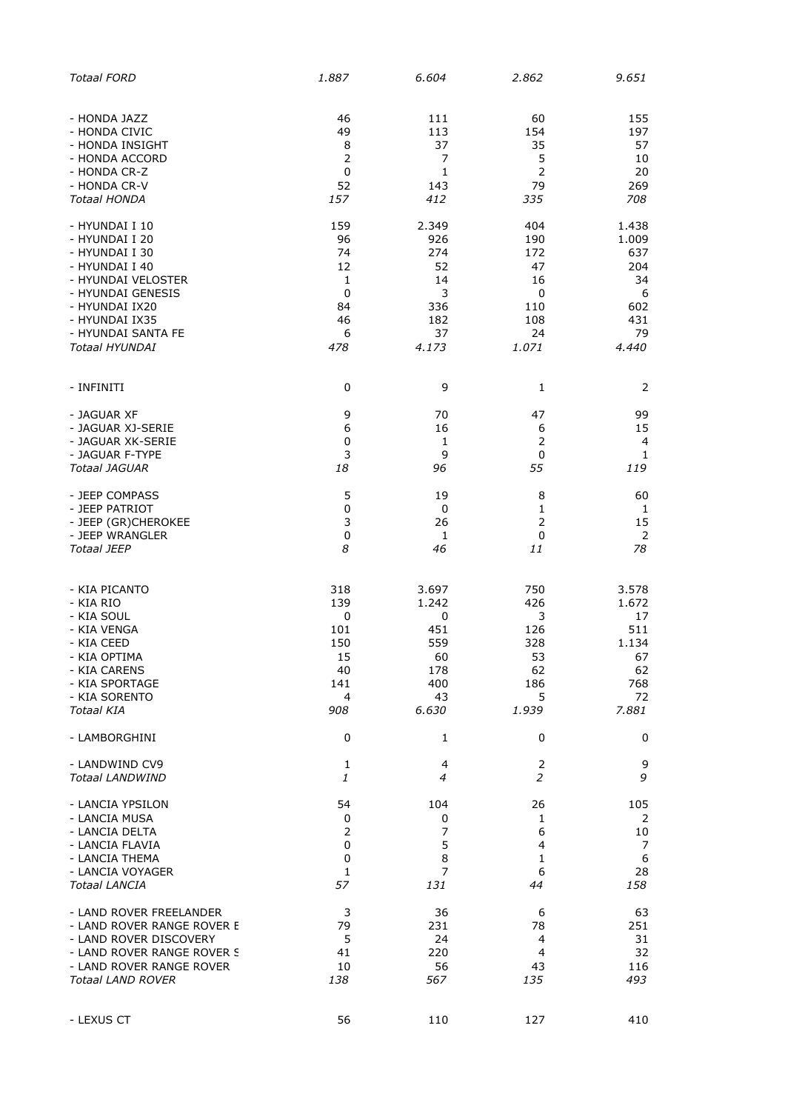| <b>Totaal FORD</b>         | 1.887        | 6.604        | 2.862          | 9.651                    |
|----------------------------|--------------|--------------|----------------|--------------------------|
| - HONDA JAZZ               | 46           | 111          | 60             | 155                      |
| - HONDA CIVIC              | 49           | 113          | 154            | 197                      |
| - HONDA INSIGHT            | 8            | 37           | 35             | 57                       |
| - HONDA ACCORD             | 2            | 7            | 5              | 10                       |
| - HONDA CR-Z               | 0            | 1            | $\overline{2}$ | 20                       |
| - HONDA CR-V               | 52           | 143          | 79             | 269                      |
| <b>Totaal HONDA</b>        | 157          | 412          | 335            | 708                      |
| - HYUNDAI I 10             | 159          | 2.349        | 404            | 1.438                    |
| - HYUNDAI I 20             | 96           | 926          | 190            | 1.009                    |
| - HYUNDAI I 30             | 74           | 274          | 172            | 637                      |
| - HYUNDAI I 40             | 12           | 52           | 47             | 204                      |
| - HYUNDAI VELOSTER         | $\mathbf{1}$ | 14           | 16             | 34                       |
| - HYUNDAI GENESIS          | 0            | 3            | 0              | 6                        |
| - HYUNDAI IX20             | 84           | 336          | 110            | 602                      |
| - HYUNDAI IX35             | 46           | 182          | 108            | 431                      |
| - HYUNDAI SANTA FE         | 6            | 37           | 24             | 79                       |
| <b>Totaal HYUNDAI</b>      | 478          | 4.173        | 1.071          | 4.440                    |
| - INFINITI                 | 0            | 9            | 1              | 2                        |
| - JAGUAR XF                | 9            | 70           | 47             | 99                       |
| - JAGUAR XJ-SERIE          | 6            | 16           | 6              | 15                       |
| - JAGUAR XK-SERIE          | 0            | 1            | $\overline{2}$ | $\overline{\mathcal{L}}$ |
| - JAGUAR F-TYPE            | 3            | 9            | $\mathbf 0$    | $\mathbf{1}$             |
| Totaal JAGUAR              | 18           | 96           | 55             | 119                      |
| - JEEP COMPASS             | 5            | 19           | 8              | 60                       |
| - JEEP PATRIOT             | 0            | 0            | 1              | 1                        |
| - JEEP (GR)CHEROKEE        | 3            | 26           | $\overline{2}$ | 15                       |
| - JEEP WRANGLER            | $\pmb{0}$    | $\mathbf{1}$ | $\pmb{0}$      | 2                        |
| <b>Totaal JEEP</b>         | 8            | 46           | 11             | 78                       |
| - KIA PICANTO              | 318          | 3.697        | 750            | 3.578                    |
| - KIA RIO                  | 139          | 1.242        | 426            | 1.672                    |
| - KIA SOUL                 | 0            | 0            | 3              | 17                       |
| - KIA VENGA                | 101          | 451          | 126            | 511                      |
| - KIA CEED                 | 150          | 559          | 328            | 1.134                    |
| - KIA OPTIMA               | 15           | 60           | 53             | 67                       |
| - KIA CARENS               | 40           | 178          | 62             | 62                       |
| - KIA SPORTAGE             | 141          | 400          | 186            | 768                      |
| - KIA SORENTO              | 4            | 43           | 5              | 72                       |
| <b>Totaal KIA</b>          | 908          | 6.630        | 1.939          | 7.881                    |
| - LAMBORGHINI              | 0            | 1            | 0              | 0                        |
| - LANDWIND CV9             | $\mathbf{1}$ | 4            | $\overline{2}$ | 9                        |
| <b>Totaal LANDWIND</b>     | 1            | 4            | 2              | 9                        |
| - LANCIA YPSILON           | 54           | 104          | 26             | 105                      |
| - LANCIA MUSA              | 0            | 0            | $\mathbf{1}$   | 2                        |
| - LANCIA DELTA             | 2            | 7            | 6              | 10                       |
| - LANCIA FLAVIA            | 0            | 5            | 4              | 7                        |
| - LANCIA THEMA             | 0            | 8            | $\mathbf{1}$   | $\boldsymbol{6}$         |
| - LANCIA VOYAGER           | 1            | 7            | 6              | 28                       |
| <b>Totaal LANCIA</b>       | 57           | 131          | 44             | 158                      |
| - LAND ROVER FREELANDER    | 3            | 36           | 6              | 63                       |
| - LAND ROVER RANGE ROVER E | 79           | 231          | 78             | 251                      |
| - LAND ROVER DISCOVERY     | 5            | 24           | 4              | 31                       |
| - LAND ROVER RANGE ROVER S | 41           | 220          | 4              | 32                       |
| - LAND ROVER RANGE ROVER   | 10           | 56           | 43             | 116                      |
| <b>Totaal LAND ROVER</b>   | 138          | 567          | 135            | 493                      |
| - LEXUS CT                 | 56           | 110          | 127            | 410                      |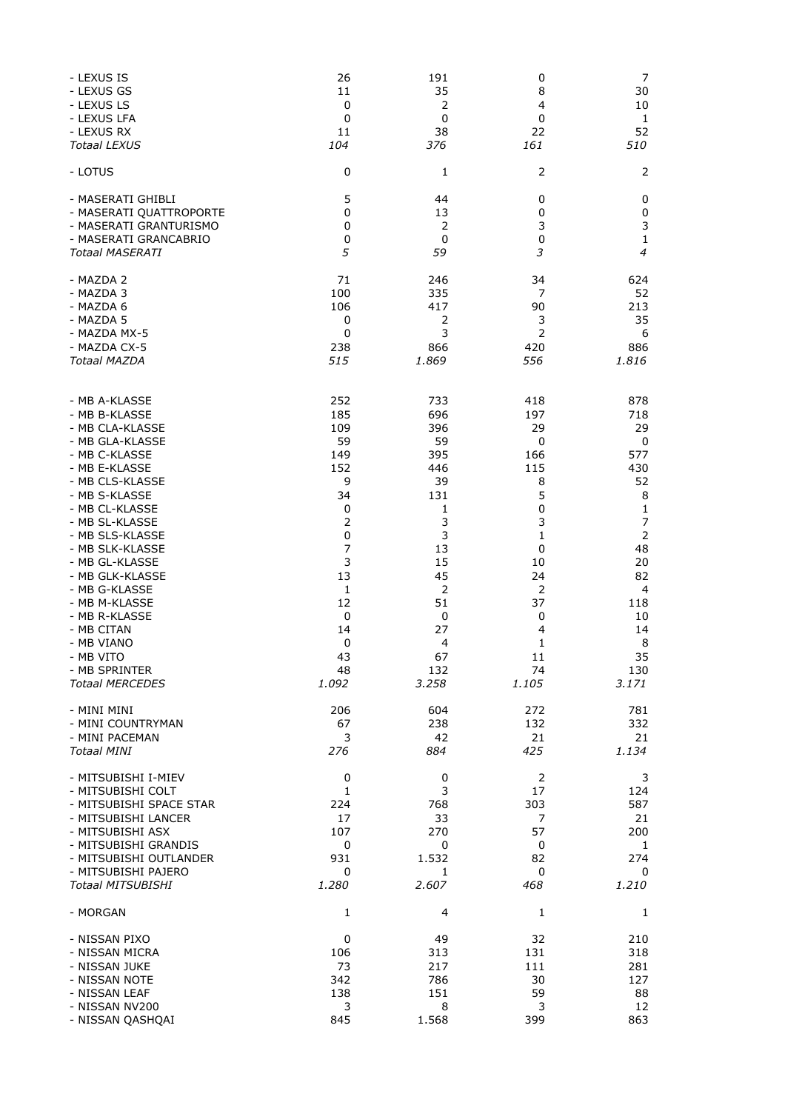| - LEXUS IS               | 26             | 191            | 0              | 7            |
|--------------------------|----------------|----------------|----------------|--------------|
| - LEXUS GS               | 11             | 35             | 8              | 30           |
| - LEXUS LS               | 0              | 2              | 4              | 10           |
| - LEXUS LFA              | 0              | 0              | 0              | $\mathbf{1}$ |
| - LEXUS RX               | 11             | 38             | 22             | 52           |
| <b>Totaal LEXUS</b>      | 104            | 376            | 161            | 510          |
| - LOTUS                  | 0              | 1              | 2              | 2            |
| - MASERATI GHIBLI        | 5              | 44             | 0              | 0            |
| - MASERATI QUATTROPORTE  | 0              | 13             | 0              | $\pmb{0}$    |
| - MASERATI GRANTURISMO   | 0              | 2              | 3              | 3            |
| - MASERATI GRANCABRIO    | 0              | 0              | 0              | $\mathbf 1$  |
| <b>Totaal MASERATI</b>   | 5              | 59             | 3              | 4            |
| - MAZDA 2                | 71             | 246            | 34             | 624          |
| - MAZDA 3                | 100            | 335            | 7              | 52           |
| - MAZDA 6                | 106            | 417            | 90             | 213          |
| - MAZDA 5                | 0              | 2              | 3              | 35           |
| - MAZDA MX-5             | 0              | 3              | 2              | 6            |
| - MAZDA CX-5             | 238            | 866            | 420            | 886          |
| Totaal MAZDA             | 515            | 1.869          | 556            | 1.816        |
| - MB A-KLASSE            | 252            | 733            | 418            | 878          |
| - MB B-KLASSE            | 185            | 696            | 197            | 718          |
| - MB CLA-KLASSE          | 109            | 396            | 29             | 29           |
| - MB GLA-KLASSE          | 59             | 59             | 0              | 0            |
| - MB C-KLASSE            | 149            | 395            | 166            | 577          |
| - MB E-KLASSE            | 152            | 446            | 115            | 430          |
| - MB CLS-KLASSE          | 9              | 39             | 8              | 52           |
| - MB S-KLASSE            | 34             | 131            | 5              | 8            |
| - MB CL-KLASSE           | 0              | 1              | 0              | $\mathbf 1$  |
| - MB SL-KLASSE           | $\overline{2}$ | 3              | 3              | 7            |
| - MB SLS-KLASSE          | 0              | 3              | 1              | $\mathbf 2$  |
| - MB SLK-KLASSE          | 7              | 13             | 0              | 48           |
| - MB GL-KLASSE           | 3              | 15             | 10             | 20           |
| - MB GLK-KLASSE          | 13             | 45             | 24             | 82           |
| - MB G-KLASSE            | 1              | $\overline{2}$ | 2              | 4            |
| - MB M-KLASSE            | 12             | 51             | 37             | 118          |
| - MB R-KLASSE            | $\pmb{0}$      | 0              | 0              | 10           |
| - MB CITAN               | 14             | 27             | 4              | 14           |
| - MB VIANO               | 0              | 4              | 1              | 8            |
| - MB VITO                | 43             | 67             | 11             | 35           |
| - MB SPRINTER            | 48             | 132            | 74             | 130          |
| <b>Totaal MERCEDES</b>   | 1.092          | 3.258          | 1.105          | 3.171        |
| - MINI MINI              | 206            | 604            | 272            | 781          |
| - MINI COUNTRYMAN        | 67             | 238            | 132            | 332          |
| - MINI PACEMAN           | 3              | 42             | 21             | 21           |
| <b>Totaal MINI</b>       | 276            | 884            | 425            | 1.134        |
| - MITSUBISHI I-MIEV      | 0              | 0              | $\overline{2}$ | 3            |
| - MITSUBISHI COLT        | 1              | 3              | 17             | 124          |
| - MITSUBISHI SPACE STAR  | 224            | 768            | 303            | 587          |
| - MITSUBISHI LANCER      | 17             | 33             | 7              | 21           |
| - MITSUBISHI ASX         | 107            | 270            | 57             | 200          |
| - MITSUBISHI GRANDIS     | 0              | 0              | 0              | $\mathbf{1}$ |
| - MITSUBISHI OUTLANDER   | 931            | 1.532          | 82             | 274          |
| - MITSUBISHI PAJERO      | 0              | 1              | 0              | 0            |
| <b>Totaal MITSUBISHI</b> | 1.280          | 2.607          | 468            | 1.210        |
| - MORGAN                 | 1              | 4              | 1              | 1            |
| - NISSAN PIXO            | 0              | 49             | 32             | 210          |
| - NISSAN MICRA           | 106            | 313            | 131            | 318          |
| - NISSAN JUKE            | 73             | 217            | 111            | 281          |
| - NISSAN NOTE            | 342            | 786            | 30             | 127          |
| - NISSAN LEAF            | 138            | 151            | 59             | 88           |
| - NISSAN NV200           | 3              | 8              | 3              | 12           |
| - NISSAN QASHQAI         | 845            | 1.568          | 399            | 863          |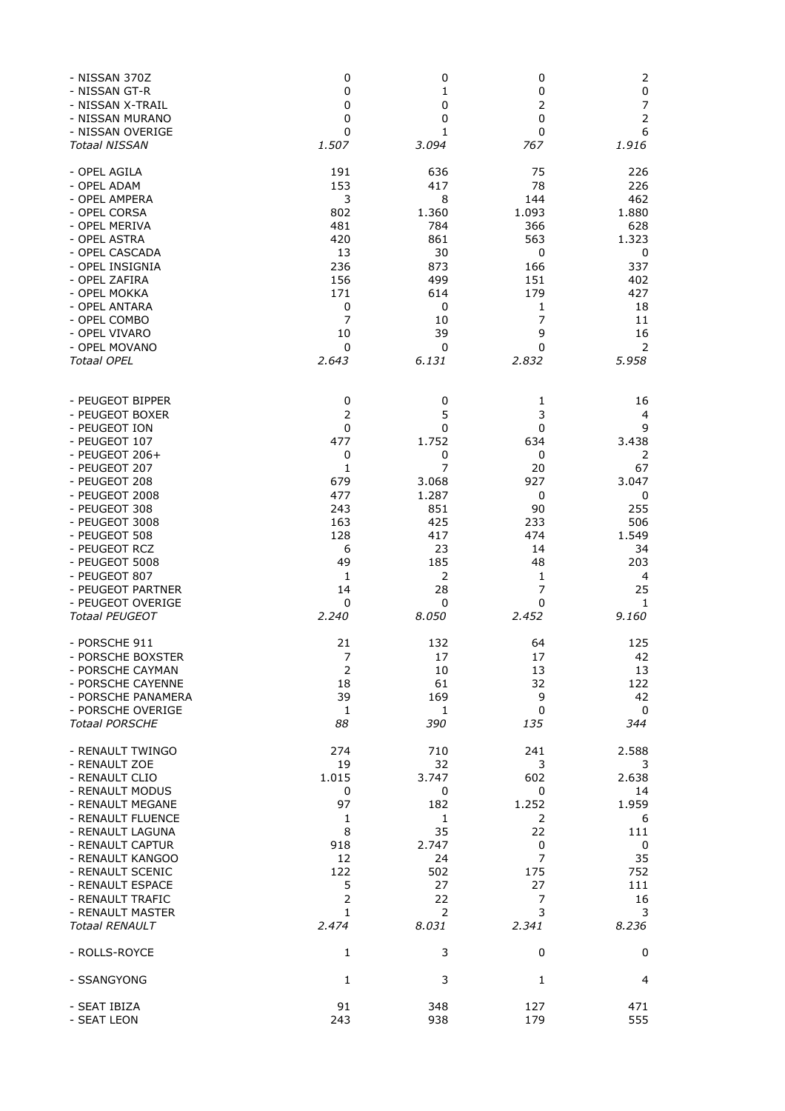| - NISSAN 370Z         | 0              | 0              | 0              | 2              |
|-----------------------|----------------|----------------|----------------|----------------|
| - NISSAN GT-R         | 0              | 1              | 0              | $\pmb{0}$      |
| - NISSAN X-TRAIL      | 0              | 0              | 2              | $\overline{7}$ |
| - NISSAN MURANO       | 0              | 0              | 0              |                |
| - NISSAN OVERIGE      | 0              | 1              | 0              | 6              |
| <b>Totaal NISSAN</b>  | 1.507          | 3.094          | 767            | 1.916          |
| - OPEL AGILA          | 191            | 636            | 75             | 226            |
| - OPEL ADAM           | 153            | 417            | 78             | 226            |
| - OPEL AMPERA         | 3              | 8              | 144            | 462            |
| - OPEL CORSA          | 802            | 1.360          | 1.093          | 1.880          |
| - OPEL MERIVA         | 481            | 784            | 366            | 628            |
| - OPEL ASTRA          | 420            | 861            | 563            | 1.323          |
| - OPEL CASCADA        | 13             | 30             | 0              | 0              |
| - OPEL INSIGNIA       | 236            | 873            | 166            | 337            |
| - OPEL ZAFIRA         | 156            | 499            | 151            | 402            |
| - OPEL MOKKA          | 171            | 614            | 179            | 427            |
| - OPEL ANTARA         | 0              | 0              | 1              | 18             |
| - OPEL COMBO          | $\overline{7}$ | 10             | $\overline{7}$ | 11             |
| - OPEL VIVARO         | 10             | 39             | 9              | 16             |
| - OPEL MOVANO         | 0              | 0              | 0              | 2              |
| <b>Totaal OPEL</b>    | 2.643          | 6.131          | 2.832          | 5.958          |
| - PEUGEOT BIPPER      | 0              | 0              | 1              | 16             |
| - PEUGEOT BOXER       | 2              | 5              | 3              | 4              |
| - PEUGEOT ION         | 0              | 0              | 0              | 9              |
| - PEUGEOT 107         | 477            | 1.752          | 634            | 3.438          |
| - PEUGEOT $206+$      | 0              | 0              | 0              | 2              |
| - PEUGEOT 207         | 1              | 7              | 20             | 67             |
| - PEUGEOT 208         | 679            | 3.068          | 927            | 3.047          |
| - PEUGEOT 2008        | 477            | 1.287          | 0              | 0              |
| - PEUGEOT 308         | 243            | 851            | 90             | 255            |
| - PEUGEOT 3008        | 163            | 425            | 233            | 506            |
| - PEUGEOT 508         | 128            | 417            | 474            | 1.549          |
| - PEUGEOT RCZ         | 6              | 23             | 14             | 34             |
| - PEUGEOT 5008        | 49             | 185            | 48             | 203            |
| - PEUGEOT 807         | 1              | $\overline{2}$ | $\mathbf{1}$   | 4              |
| - PEUGEOT PARTNER     | 14             | 28             | 7              | 25             |
| - PEUGEOT OVERIGE     | 0              | 0              | 0              | 1              |
| <b>Totaal PEUGEOT</b> | 2.240          | 8.050          | 2.452          | 9.160          |
| - PORSCHE 911         | 21             | 132            | 64             | 125            |
| - PORSCHE BOXSTER     | 7              | 17             | 17             | 42             |
| - PORSCHE CAYMAN      | $\mathsf{2}\,$ | 10             | 13             | 13             |
| - PORSCHE CAYENNE     | 18             | 61             | 32             | 122            |
| - PORSCHE PANAMERA    | 39             | 169            | 9              | 42             |
| - PORSCHE OVERIGE     | $\mathbf{1}$   | $\mathbf{1}$   | 0              | 0              |
| <b>Totaal PORSCHE</b> | 88             | 390            | 135            | 344            |
| - RENAULT TWINGO      | 274            | 710            | 241            | 2.588          |
| - RENAULT ZOE         | 19             | 32             | 3              | 3              |
| - RENAULT CLIO        | 1.015          | 3.747          | 602            | 2.638          |
| - RENAULT MODUS       | 0              | 0              | 0              | 14             |
| - RENAULT MEGANE      | 97             | 182            | 1.252          | 1.959          |
| - RENAULT FLUENCE     | 1              | 1              | 2              | 6              |
| - RENAULT LAGUNA      | 8              | 35             | 22             | 111            |
| - RENAULT CAPTUR      | 918            | 2.747          | 0              | 0              |
| - RENAULT KANGOO      | 12             | 24             | 7              | 35             |
| - RENAULT SCENIC      | 122            | 502            | 175            | 752            |
| - RENAULT ESPACE      | 5              | 27             | 27             | 111            |
| - RENAULT TRAFIC      | $\overline{2}$ | 22             | 7              | 16             |
| - RENAULT MASTER      | 1              | 2              | 3              | 3              |
| <b>Totaal RENAULT</b> | 2.474          | 8.031          | 2.341          | 8.236          |
| - ROLLS-ROYCE         | 1              | 3              | 0              | 0              |
| - SSANGYONG           | $\mathbf{1}$   | 3              | $\mathbf{1}$   | 4              |
| - SEAT IBIZA          | 91             | 348            | 127            | 471            |
| - SEAT LEON           | 243            | 938            | 179            | 555            |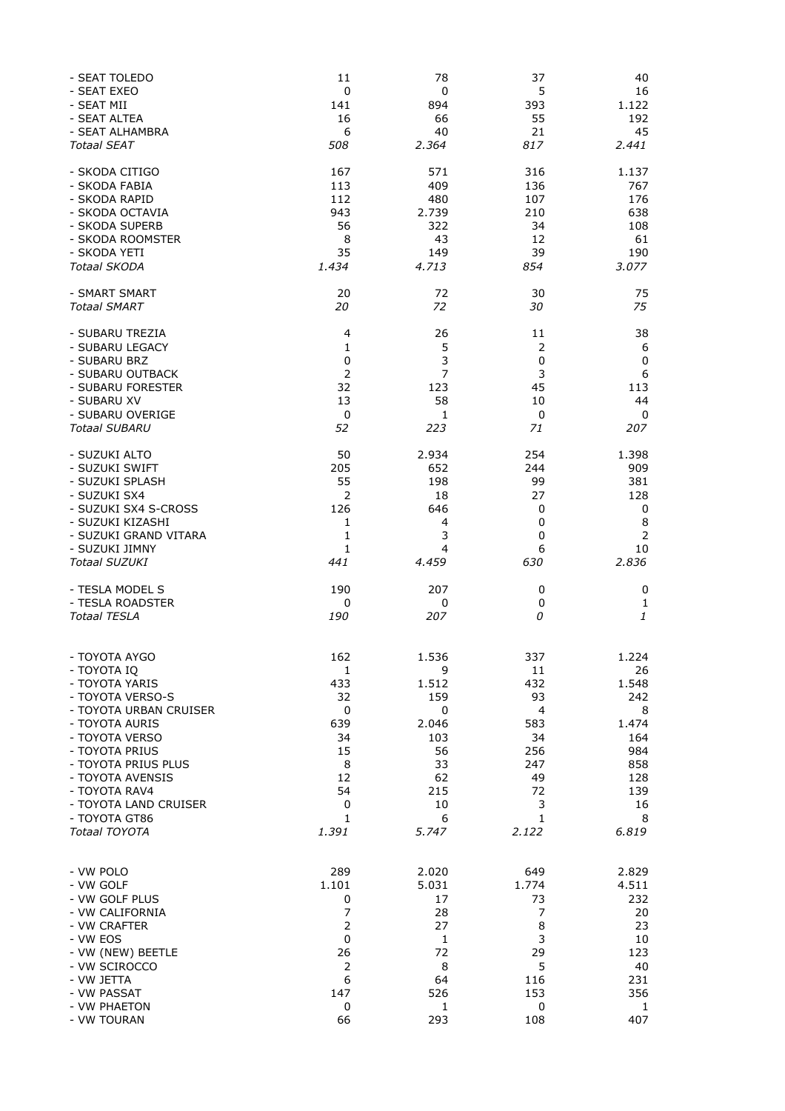| - SEAT TOLEDO                            | 11                  | 78           | 37             | 40                            |
|------------------------------------------|---------------------|--------------|----------------|-------------------------------|
| - SEAT EXEO<br>- SEAT MII                | 0<br>141            | 0<br>894     | 5<br>393       | 16<br>1.122                   |
| - SEAT ALTEA                             | 16                  | 66           | 55             | 192                           |
| - SEAT ALHAMBRA                          | 6                   | 40           | 21             | 45                            |
| <b>Totaal SEAT</b>                       | 508                 | 2.364        | 817            | 2.441                         |
| - SKODA CITIGO                           | 167                 | 571          | 316            | 1.137                         |
| - SKODA FABIA                            | 113                 | 409          | 136            | 767                           |
| - SKODA RAPID                            | 112                 | 480          | 107<br>210     | 176                           |
| - SKODA OCTAVIA<br>- SKODA SUPERB        | 943<br>56           | 2.739<br>322 | 34             | 638<br>108                    |
| - SKODA ROOMSTER                         | 8                   | 43           | 12             | 61                            |
| - SKODA YETI                             | 35                  | 149          | 39             | 190                           |
| <b>Totaal SKODA</b>                      | 1.434               | 4.713        | 854            | 3.077                         |
| - SMART SMART                            | 20                  | 72           | 30             | 75                            |
| <b>Totaal SMART</b>                      | 20                  | 72           | 30             | 75                            |
| - SUBARU TREZIA                          | 4                   | 26           | 11             | 38                            |
| - SUBARU LEGACY                          | 1                   | 5            | $\overline{2}$ | 6                             |
| - SUBARU BRZ<br>- SUBARU OUTBACK         | 0<br>$\overline{2}$ | 3<br>7       | $\pmb{0}$<br>3 | $\pmb{0}$<br>$\boldsymbol{6}$ |
| - SUBARU FORESTER                        | 32                  | 123          | 45             | 113                           |
| - SUBARU XV                              | 13                  | 58           | 10             | 44                            |
| - SUBARU OVERIGE                         | 0                   | 1            | 0              | 0                             |
| <b>Totaal SUBARU</b>                     | 52                  | 223          | 71             | 207                           |
| - SUZUKI ALTO                            | 50                  | 2.934        | 254            | 1.398                         |
| - SUZUKI SWIFT                           | 205                 | 652          | 244            | 909                           |
| - SUZUKI SPLASH                          | 55                  | 198          | 99             | 381                           |
| - SUZUKI SX4                             | 2<br>126            | 18<br>646    | 27             | 128                           |
| - SUZUKI SX4 S-CROSS<br>- SUZUKI KIZASHI | $\mathbf{1}$        | 4            | 0<br>0         | 0<br>8                        |
| - SUZUKI GRAND VITARA                    | 1                   | 3            | $\mathbf 0$    | $\overline{2}$                |
| - SUZUKI JIMNY                           | 1                   | 4            | 6              | 10                            |
| <b>Totaal SUZUKI</b>                     | 441                 | 4.459        | 630            | 2.836                         |
| - TESLA MODEL S                          | 190                 | 207          | 0              | 0                             |
| - TESLA ROADSTER                         | 0                   | 0            | 0              | $\mathbf{1}$                  |
| <b>Totaal TESLA</b>                      | 190                 | 207          | 0              | 1                             |
|                                          | 162                 | 1.536        | 337            |                               |
| - TOYOTA AYGO<br>- TOYOTA IQ             | $\mathbf{1}$        | 9            | 11             | 1.224<br>26                   |
| - TOYOTA YARIS                           | 433                 | 1.512        | 432            | 1.548                         |
| - TOYOTA VERSO-S                         | 32                  | 159          | 93             | 242                           |
| - TOYOTA URBAN CRUISER                   | 0                   | 0            | $\overline{4}$ | 8                             |
| - TOYOTA AURIS                           | 639                 | 2.046        | 583            | 1.474                         |
| - TOYOTA VERSO                           | 34                  | 103          | 34             | 164                           |
| - TOYOTA PRIUS                           | 15                  | 56           | 256            | 984                           |
| - TOYOTA PRIUS PLUS                      | 8                   | 33           | 247            | 858                           |
| - TOYOTA AVENSIS<br>- TOYOTA RAV4        | 12<br>54            | 62<br>215    | 49<br>72       | 128<br>139                    |
| - TOYOTA LAND CRUISER                    | $\pmb{0}$           | 10           | 3              | 16                            |
| - TOYOTA GT86                            | 1                   | 6            | 1              | 8                             |
| Totaal TOYOTA                            | 1.391               | 5.747        | 2.122          | 6.819                         |
|                                          |                     |              |                |                               |
| - VW POLO                                | 289                 | 2.020        | 649            | 2.829                         |
| - VW GOLF                                | 1.101               | 5.031        | 1.774          | 4.511                         |
| - VW GOLF PLUS<br>- VW CALIFORNIA        | 0<br>7              | 17<br>28     | 73<br>7        | 232<br>20                     |
| - VW CRAFTER                             | $\overline{2}$      | 27           | 8              | 23                            |
| - VW EOS                                 | 0                   | 1            | 3              | 10                            |
| - VW (NEW) BEETLE                        | 26                  | 72           | 29             | 123                           |
| - VW SCIROCCO                            | $\overline{2}$      | 8            | 5              | 40                            |
| - VW JETTA                               | 6                   | 64           | 116            | 231                           |
| - VW PASSAT                              | 147                 | 526          | 153            | 356                           |
| - VW PHAETON<br>- VW TOURAN              | 0<br>66             | 1<br>293     | 0<br>108       | 1<br>407                      |
|                                          |                     |              |                |                               |